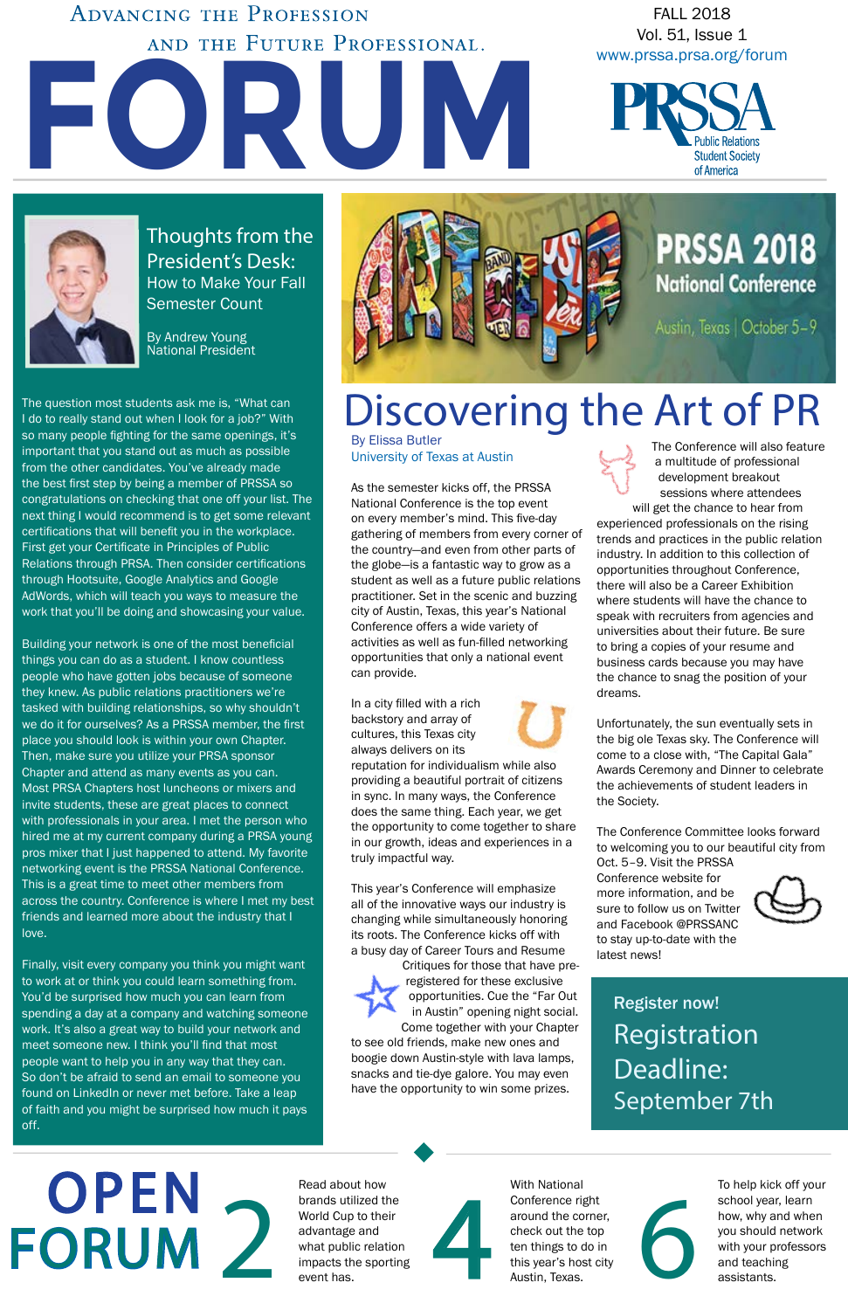

**ADVANCING THE PROFESSION** AND THE FUTURE PROFESSIONAL.

FALL 2018 Vol. 51, Issue 1 [www.prssa.prsa.org/forum](http://www.prssa.prsa.org/forum)





Thoughts from the President's Desk: How to Make Your Fall Semester Count

By Andrew Young National President

The question most students ask me is, "What can I do to really stand out when I look for a job?" With so many people fighting for the same openings, it's important that you stand out as much as possible from the other candidates. You've already made the best first step by being a member of PRSSA so congratulations on checking that one off your list. The next thing I would recommend is to get some relevant certifications that will benefit you in the workplace. First get your Certificate in Principles of Public Relations through PRSA. Then consider certifications through Hootsuite, Google Analytics and Google AdWords, which will teach you ways to measure the work that you'll be doing and showcasing your value.

Building your network is one of the most beneficial things you can do as a student. I know countless people who have gotten jobs because of someone they knew. As public relations practitioners we're tasked with building relationships, so why shouldn't we do it for ourselves? As a PRSSA member, the first place you should look is within your own Chapter. Then, make sure you utilize your PRSA sponsor Chapter and attend as many events as you can. Most PRSA Chapters host luncheons or mixers and invite students, these are great places to connect with professionals in your area. I met the person who hired me at my current company during a PRSA young pros mixer that I just happened to attend. My favorite networking event is the PRSSA National Conference. This is a great time to meet other members from across the country. Conference is where I met my best friends and learned more about the industry that I love.

Finally, visit every company you think you might want to work at or think you could learn something from. You'd be surprised how much you can learn from spending a day at a company and watching someone work. It's also a great way to build your network and meet someone new. I think you'll find that most people want to help you in any way that they can. So don't be afraid to send an email to someone you found on LinkedIn or never met before. Take a leap of faith and you might be surprised how much it pays off.

By Elissa Butler University of Texas at Austin

**OPEN** FORUM As the semester kicks off, the PRSSA National Conference is the top event on every member's mind. This five-day gathering of members from every corner of the country—and even from other parts of the globe—is a fantastic way to grow as a student as well as a future public relations practitioner. Set in the scenic and buzzing city of Austin, Texas, this year's National Conference offers a wide variety of activities as well as fun-filled networking opportunities that only a national event can provide.

Fread about now<br>
brands utilized the<br>
World Cup to their<br>
advantage and<br>
what public relation<br>
impacts the sporting<br>
event has.<br>
Austin, Texas.<br>
Austin, Texas.<br>
Austin, Texas.<br>
Austin, Texas. Read about how brands utilized the World Cup to their advantage and what public relation impacts the sporting event has.



In a city filled with a rich backstory and array of cultures, this Texas city always delivers on its



reputation for individualism while also providing a beautiful portrait of citizens in sync. In many ways, the Conference does the same thing. Each year, we get the opportunity to come together to share in our growth, ideas and experiences in a truly impactful way.

This year's Conference will emphasize all of the innovative ways our industry is changing while simultaneously honoring its roots. The Conference kicks off with a busy day of Career Tours and Resume Critiques for those that have preregistered for these exclusive opportunities. Cue the "Far Out in Austin" opening night social. Come together with your Chapter to see old friends, make new ones and boogie down Austin-style with lava lamps, snacks and tie-dye galore. You may even have the opportunity to win some prizes.



The Conference will also feature a multitude of professional development breakout sessions where attendees

will get the chance to hear from experienced professionals on the rising trends and practices in the public relation industry. In addition to this collection of opportunities throughout Conference, there will also be a Career Exhibition where students will have the chance to speak with recruiters from agencies and universities about their future. Be sure to bring a copies of your resume and business cards because you may have the chance to snag the position of your dreams.

Unfortunately, the sun eventually sets in the big ole Texas sky. The Conference will come to a close with, "The Capital Gala" Awards Ceremony and Dinner to celebrate the achievements of student leaders in the Society.

The Conference Committee looks forward to welcoming you to our beautiful city from

Oct. 5–9. Visit the P[RSSA](http://apps-prssa.prsa.org/events/Conference/)  [Conference website](http://apps-prssa.prsa.org/events/Conference/) for more information, and be sure to follow us on [Twitter](https://twitter.com/prssanc) and Facebook @[PRSSANC](http://apps-prssa.prsa.org/events/Conference/)  to stay up-to-date with the latest news!



With National Conference right around the corner, check out the top ten things to do in this year's host city Austin, Texas.

To help kick off your school year, learn how, why and when you should network with your professors

# Discovering the Art of PR

#### Register now! Registration Deadline: September 7th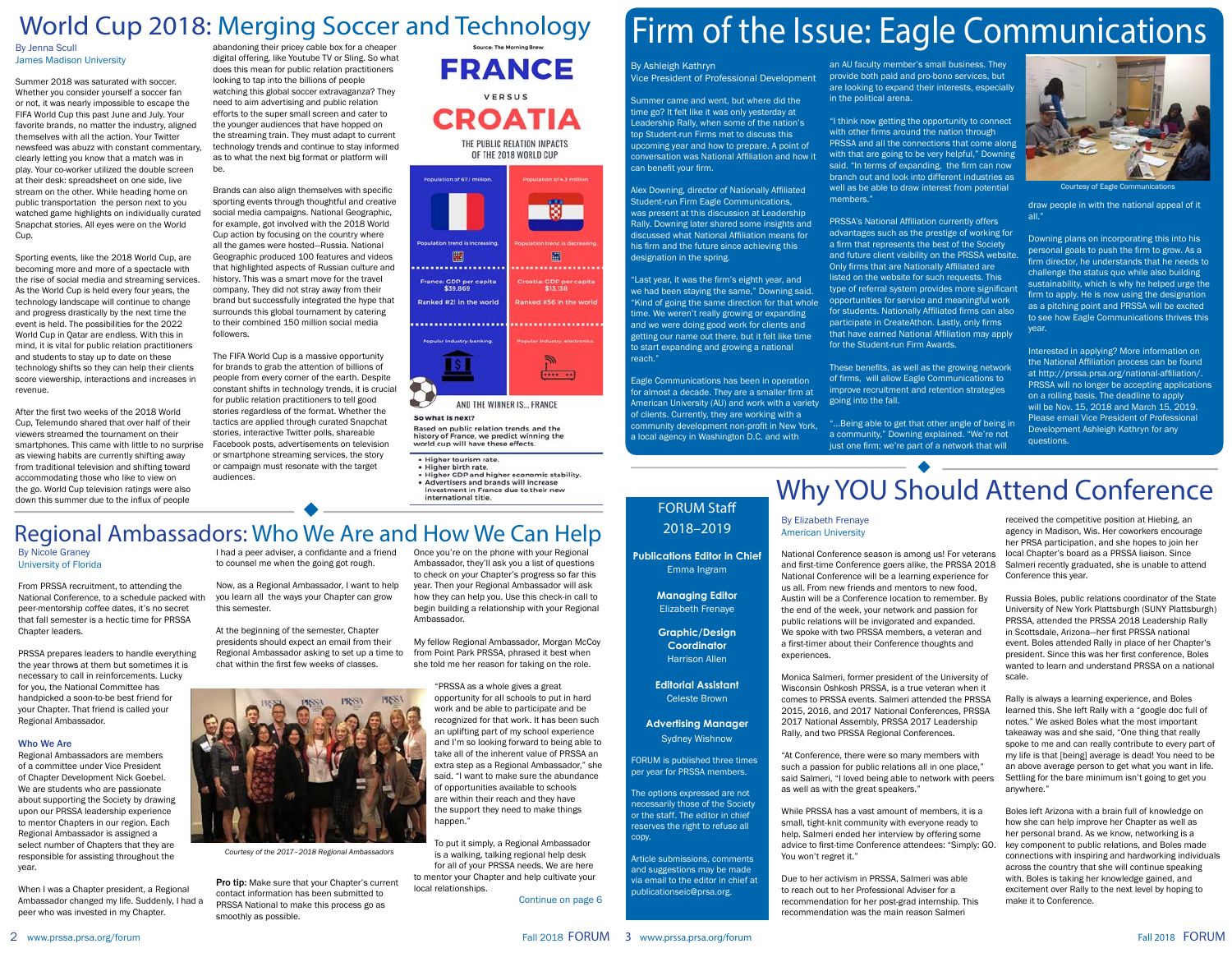Summer came and went, but where did the time go? It felt like it was only yesterday at Leadership Rally, when some of the nation's top Student-run Firms met to discuss this upcoming year and how to prepare. A point of conversation was National Affiliation and how it can benefit your firm.

Alex Downing, director of [Nationally Affiliated](https://www.linkedin.com/company/eagle-comm/)  [Student-run Firm Eagle Communications](https://www.linkedin.com/company/eagle-comm/), was present at this discussion at Leadership Rally. Downing later shared some insights and discussed what National Affiliation means for his firm and the future since achieving this designation in the spring.

By Ashleigh Kathryn Vice President of Professional Development an AU faculty member's small business. They provide both paid and pro-bono services, but are looking to expand their interests, especially in the political arena.

"Last year, it was the firm's eighth year, and we had been staying the same," Downing said. "Kind of going the same direction for that whole time. We weren't really growing or expanding and we were doing good work for clients and getting our name out there, but it felt like time to start expanding and growing a national

reach."

Eagle Communications has been in operation for almost a decade. They are a smaller firm at American University (AU) and work with a variety of clients. Currently, they are working with a community development non-profit in New York, a local agency in Washington D.C. and with

"...Being able to get that other angle of being in a community," Downing explained. "We're not just one firm; we're part of a network that will



"I think now getting the opportunity to connect with other firms around the nation through PRSSA and all the connections that come along with that are going to be very helpful," Downing said. "In terms of expanding, the firm can now branch out and look into different industries as well as be able to draw interest from potential members."

PRSSA's National Affiliation currently offers advantages such as the prestige of working for a firm that represents the best of the Society and future client visibility on the PRSSA website. Only firms that are Nationally Affiliated are listed on the website for such requests. This type of referral system provides more significant opportunities for service and meaningful work for students. Nationally Affiliated firms can also participate in CreateAthon. Lastly, only firms that have earned National Affiliation may apply for the Student-run Firm Awards.

These benefits, as well as the growing network of firms, will allow Eagle Communications to improve recruitment and retention strategies going into the fall.

draw people in with the national appeal of it all."

Downing plans on incorporating this into his personal goals to push the firm to grow. As a firm director, he understands that he needs to challenge the status quo while also building sustainability, which is why he helped urge the firm to apply. He is now using the designation as a pitching point and PRSSA will be excited to see how Eagle Communications thrives this year.

Interested in applying? More information on the National Affiliation process can be found at [http://prssa.prsa.org/national-affiliation/.](http://prssa.prsa.org/national-affiliation/) PRSSA will no longer be accepting applications on a rolling basis. The deadline to apply will be Nov. 15, 2018 and March 15, 2019. Please email Vice President of Professional Development Ashleigh Kathryn for any questions.

Courtesy of Eagle Communications

By Jenna Scull James Madison University

Summer 2018 was saturated with soccer. Whether you consider yourself a soccer fan or not, it was nearly impossible to escape the FIFA World Cup this past June and July. Your favorite brands, no matter the industry, aligned themselves with all the action. Your Twitter newsfeed was abuzz with constant commentary, clearly letting you know that a match was in play. Your co-worker utilized the double screen at their desk: spreadsheet on one side, live stream on the other. While heading home on public transportation the person next to you watched game highlights on individually curated Snapchat stories. All eyes were on the World Cup.

> Pro tip: Make sure that your Chapter's current contact information has been submitted to PRSSA National to make this process go as smoothly as possible.

# World Cup 2018: Merging Soccer and Technology Firm of the Issue: Eagle Communications

Sporting events, like the 2018 World Cup, are becoming more and more of a spectacle with the rise of social media and streaming services. As the World Cup is held every four years, the technology landscape will continue to change and progress drastically by the next time the event is held. The possibilities for the 2022 World Cup in Qatar are endless. With this in mind, it is vital for public relation practitioners and students to stay up to date on these technology shifts so they can help their clients score viewership, interactions and increases in revenue.

> **Editorial Assistant** Celeste Broy

After the first two weeks of the 2018 World Cup, Telemundo shared that over half of their viewers streamed the tournament on their smartphones. This came with little to no surprise as viewing habits are currently shifting away from traditional television and shifting toward accommodating those who like to view on the go. World Cup television ratings were also down this summer due to the influx of people

abandoning their pricey cable box for a cheaper digital offering, like Youtube TV or Sling. So what does this mean for public relation practitioners looking to tap into the billions of people watching this global soccer extravaganza? They need to aim advertising and public relation efforts to the super small screen and cater to the younger audiences that have hopped on the streaming train. They must adapt to current technology trends and continue to stay informed as to what the next big format or platform will be.

Brands can also align themselves with specific sporting events through thoughtful and creative social media campaigns. National Geographic, for example, got involved with the 2018 World Cup action by focusing on the country where all the games were hosted—Russia. National Geographic produced 100 features and videos that highlighted aspects of Russian culture and history. This was a smart move for the travel company. They did not stray away from their brand but successfully integrated the hype that surrounds this global tournament by catering to their combined 150 million social media followers.

The FIFA World Cup is a massive opportunity for brands to grab the attention of billions of people from every corner of the earth. Despite constant shifts in technology trends, it is crucial for public relation practitioners to tell good stories regardless of the format. Whether the tactics are applied through curated Snapchat stories, interactive Twitter polls, shareable Facebook posts, advertisements on television or smartphone streaming services, the story or campaign must resonate with the target audiences.



THE PUBLIC RELATION IMPACTS OF THE 2018 WORLD CUP



#### So what is next?

Based on public relation trends, and the history of France, we predict winning the world cup will have these effects.

- · Higher tourism rate.
- · Higher birth rate.
- Higher GDP and higher economic stability. • Advertisers and brands will increase
- investment in France due to their new international title

By Nicole Graney University of Florida

From PRSSA recruitment, to attending the National Conference, to a schedule packed with peer-mentorship coffee dates, it's no secret that fall semester is a hectic time for PRSSA Chapter leaders.

PRSSA prepares leaders to handle everything the year throws at them but sometimes it is necessary to call in reinforcements. Lucky for you, the National Committee has handpicked a soon-to-be best friend for your Chapter. That friend is called your Regional Ambassador.

#### Who We Are

Regional Ambassadors are members of a committee under Vice President of Chapter Development Nick Goebel. We are students who are passionate about supporting the Society by drawing upon our PRSSA leadership experience to mentor Chapters in our region. Each Regional Ambassador is assigned a select number of Chapters that they are responsible for assisting throughout the year.

When I was a Chapter president, a Regional Ambassador changed my life. Suddenly, I had a peer who was invested in my Chapter.

I had a peer adviser, a confidante and a friend to counsel me when the going got rough.

Now, as a Regional Ambassador, I want to help you learn all the ways your Chapter can grow this semester.

At the beginning of the semester, Chapter presidents should expect an email from their Regional Ambassador asking to set up a time to chat within the first few weeks of classes.

Once you're on the phone with your Regional Ambassador, they'll ask you a list of questions to check on your Chapter's progress so far this year. Then your Regional Ambassador will ask how they can help you. Use this check-in call to begin building a relationship with your Regional Ambassador.

My fellow Regional Ambassador, Morgan McCoy from Point Park PRSSA, phrased it best when she told me her reason for taking on the role.

> "PRSSA as a whole gives a great opportunity for all schools to put in hard work and be able to participate and be recognized for that work. It has been such an uplifting part of my school experience and I'm so looking forward to being able to take all of the inherent value of PRSSA an extra step as a Regional Ambassador," she said. "I want to make sure the abundance of opportunities available to schools are within their reach and they have the support they need to make things happen."

To put it simply, a Regional Ambassador is a walking, talking regional help desk for all of your PRSSA needs. We are here to mentor your Chapter and help cultivate your local relationships.

Continue on page 6

#### FORUM Staff 2018–2019

**Publications Editor in Chief**  Emma Ingram

> **Managing Editor** Elizabeth Frenaye

**Graphic/Design Coordinator** Harrison Allen

**Advertising Manager**  Sydney Wishnow

FORUM is published three times per year for PRSSA members.

The options expressed are not necessarily those of the Society or the staff. The editor in chief reserves the right to refuse all copy.

Article submissions, comments and suggestions may be made via email to the editor in chief at publicationseic@prsa.org.



*Courtesy of the 2017–2018 Regional Ambassadors*

#### By Elizabeth Frenaye American University

National Conference season is among us! For veterans and first-time Conference goers alike, the [PRSSA 2018](http://apps-prssa.prsa.org/events/Conference/)  [National Conference](http://apps-prssa.prsa.org/events/Conference/) will be a learning experience for us all. From new friends and mentors to new food, Austin will be a Conference location to remember. By the end of the week, your network and passion for public relations will be invigorated and expanded. We spoke with two PRSSA members, a veteran and a first-timer about their Conference thoughts and experiences.

Monica Salmeri, former president of the University of Wisconsin Oshkosh PRSSA, is a true veteran when it comes to PRSSA events. Salmeri attended the PRSSA 2015, 2016, and 2017 National Conferences, PRSSA 2017 National Assembly, PRSSA 2017 Leadership Rally, and two PRSSA Regional Conferences.

"At Conference, there were so many members with such a passion for public relations all in one place," said Salmeri, "I loved being able to network with peers as well as with the great speakers."

While PRSSA has a vast amount of members, it is a small, tight-knit community with everyone ready to help. Salmeri ended her interview by offering some advice to first-time Conference attendees: "Simply: GO. You won't regret it."

Due to her activism in PRSSA, Salmeri was able to reach out to her Professional Adviser for a recommendation for her post-grad internship. This recommendation was the main reason Salmeri

received the competitive position at Hiebing, an agency in Madison, Wis. Her coworkers encourage her PRSA participation, and she hopes to join her local Chapter's board as a PRSSA liaison. Since Salmeri recently graduated, she is unable to attend Conference this year.

Russia Boles, public relations coordinator of the State University of New York Plattsburgh (SUNY Plattsburgh) PRSSA, attended the PRSSA 2018 Leadership Rally in Scottsdale, Arizona—her first PRSSA national event. Boles attended Rally in place of her Chapter's president. Since this was her first conference, Boles wanted to learn and understand PRSSA on a national scale.

Rally is always a learning experience, and Boles learned this. She left Rally with a "google doc full of notes." We asked Boles what the most important takeaway was and she said, "One thing that really spoke to me and can really contribute to every part of my life is that [being] average is dead! You need to be an above average person to get what you want in life. Settling for the bare minimum isn't going to get you anywhere."

Boles left Arizona with a brain full of knowledge on how she can help improve her Chapter as well as her personal brand. As we know, networking is a key component to public relations, and Boles made connections with inspiring and hardworking individuals across the country that she will continue speaking with. Boles is taking her knowledge gained, and excitement over Rally to the next level by hoping to make it to Conference.

## Regional Ambassadors: Who We Are and How We Can Help

# Why YOU Should Attend Conference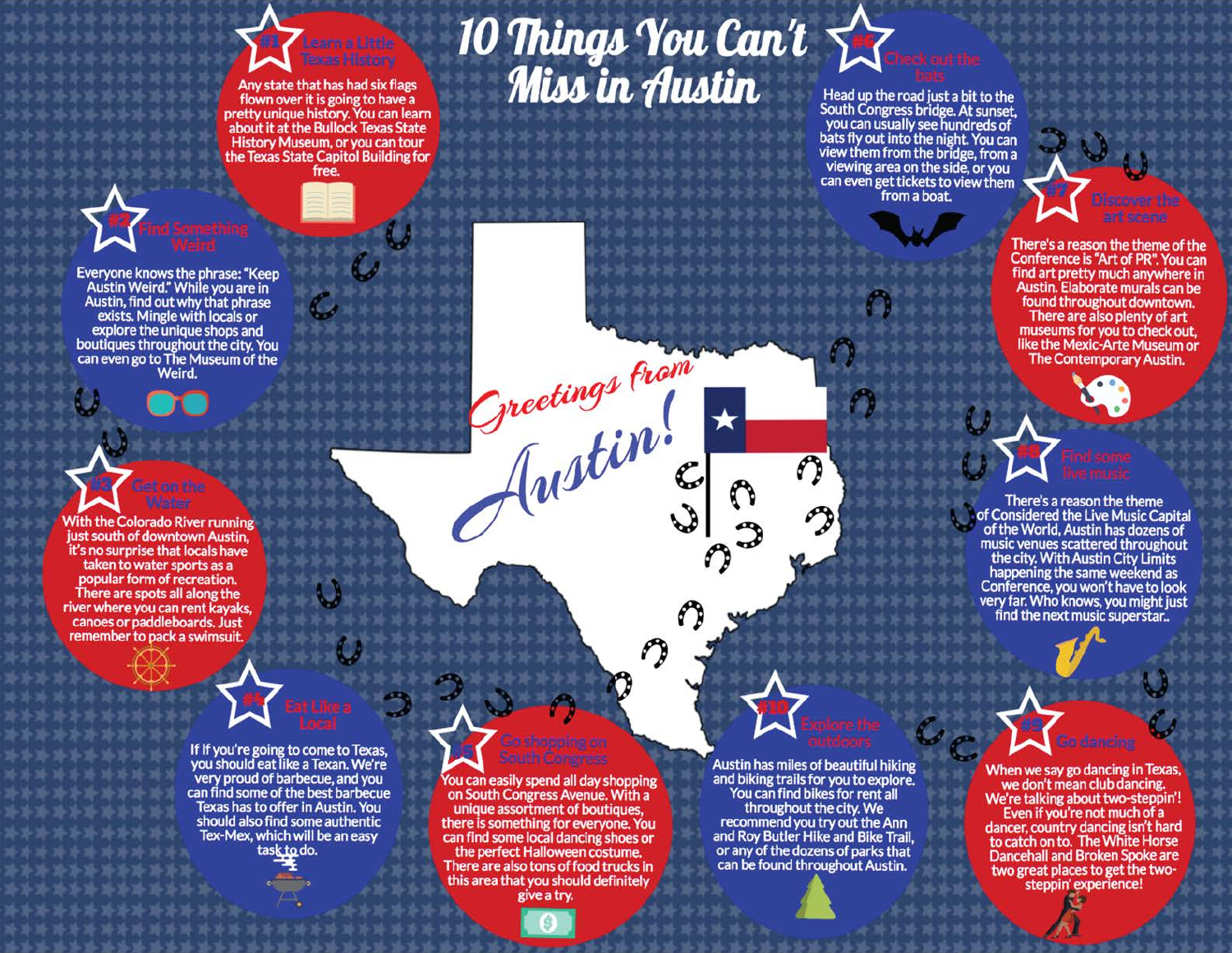#### Any state that has had six flags flown over it is going to have a pretty unique history. You can learn about it at the Bullock Texas State History Museum, or you can tour the Texas State Capitol Building for free.

# $10$  Things You Can't  $\sum_{\text{Meadup the}}$

Greetings From

Everyone knows the phrase: "Keep Austin Weird." While you are in Austin, find out why that phrase exists. Mingle with locals or explore the unique shops and boutiques throughout the city. You can even go to The Museum of the Weird.



remember to pack a swimsuit.

If If you're going to come to Texas, you should eat like a Texan. We're very proud of barbecue, and you can find some of the best barbecue Texas has to offer in Austin. You should also find some authentic Tex-Mex, which will be an easy task to do.

You can easily spend all day shopping on South Congress Avenue. With a unique assortment of boutiques, there is something for everyone. You can find some local dancing shoes or the perfect Halloween costume. There are also tons of food trucks in this area that you should definitely give a try.



Head up the road just a bit to the South Congress bridge. At sunset, you can usually see hundreds of bats fly out into the night. You can view them from the bridge, from a viewing area on the side, or you can even get tickets to view them from a boat.



There's a reason the theme of the Conference is "Art of PR". You can find art pretty much anywhere in Austin. Elaborate murals can be found throughout downtown. There are also plenty of art museums for you to check out, like the Mexic-Arte Museum or The Contemporary Austin.



There's a reason the theme of Considered the Live Music Capital of the World, Austin has dozens of music venues scattered throughout the city. With Austin City Limits happening the same weekend as Conference, you won't have to look very far. Who knows, you might just<br>find the next music superstar..

Austin has miles of beautiful hiking and biking trails for you to explore. You can find bikes for rent all throughout the city. We recommend you try out the Ann and Roy Butler Hike and Bike Trail, or any of the dozens of parks that can be found throughout Austin.

n

When we say go dancing in Texas, we don't mean club dancing. We're talking about two-steppin'! Even if you're not much of a dancer, country dancing isn't hard to catch on to. The White Horse Dancehall and Broken Spoke are two great places to get the twosteppin' experience!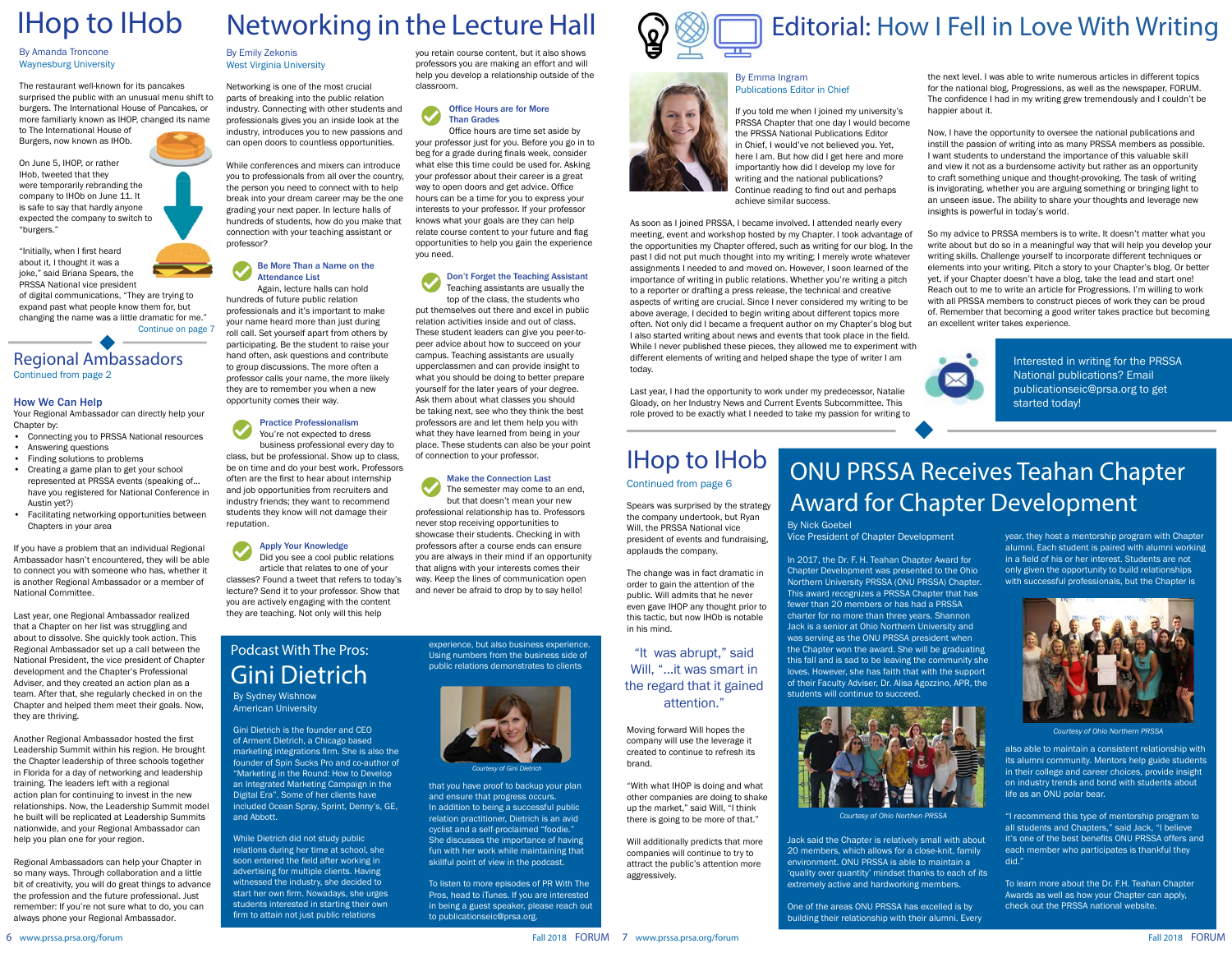Regional Ambassadors

Continued from page 2

#### How We Can Help

Your Regional Ambassador can directly help your Chapter by:

- Connecting you to PRSSA National resources
- Answering questions
- Finding solutions to problems
- Creating a game plan to get your school represented at PRSSA events (speaking of… have you registered for National Conference in Austin yet?)
- Facilitating networking opportunities between Chapters in your area

If you have a problem that an individual Regional Ambassador hasn't encountered, they will be able to connect you with someone who has, whether it is another Regional Ambassador or a member of National Committee.

Last year, one Regional Ambassador realized that a Chapter on her list was struggling and about to dissolve. She quickly took action. This Regional Ambassador set up a call between the National President, the vice president of Chapter development and the Chapter's Professional Adviser, and they created an action plan as a team. After that, she regularly checked in on the Chapter and helped them meet their goals. Now, they are thriving.

Another Regional Ambassador hosted the first Leadership Summit within his region. He brought the Chapter leadership of three schools together in Florida for a day of networking and leadership training. The leaders left with a regional action plan for continuing to invest in the new relationships. Now, the Leadership Summit model he built will be replicated at Leadership Summits nationwide, and your Regional Ambassador can help you plan one for your region.

Regional Ambassadors can help your Chapter in so many ways. Through collaboration and a little bit of creativity, you will do great things to advance the profession and the future professional. Just remember: If you're not sure what to do, you can always phone your Regional Ambassador.

By Nick Goebel Vice President of Chapter Development

In 2017, the Dr. F. H. Teahan Chapter Award for Chapter Development was presented to the Ohio Northern University PRSSA (ONU PRSSA) Chapter. This award recognizes a PRSSA Chapter that has fewer than 20 members or has had a PRSSA charter for no more than three years. Shannon Jack is a senior at Ohio Northern University and was serving as the ONU PRSSA president when the Chapter won the award. She will be graduating this fall and is sad to be leaving the community she loves. However, she has faith that with the support of their Faculty Adviser, Dr. Alisa Agozzino, APR, the students will continue to succeed.

Jack said the Chapter is relatively small with about 20 members, which allows for a close-knit, family environment. ONU PRSSA is able to maintain a 'quality over quantity' mindset thanks to each of its extremely active and hardworking members.

One of the areas ONU PRSSA has excelled is by building their relationship with their alumni. Every year, they host a mentorship program with Chapter alumni. Each student is paired with alumni working in a field of his or her interest. Students are not only given the opportunity to build relationships with successful professionals, but the Chapter is

also able to maintain a consistent relationship with its alumni community. Mentors help guide students in their college and career choices, provide insight on industry trends and bond with students about life as an ONU polar bear.

"I recommend this type of mentorship program to all students and Chapters," said Jack, "I believe it's one of the best benefits ONU PRSSA offers and each member who participates is thankful they did."

To learn more about the Dr. F.H. Teahan Chapter Awards as well as how your Chapter can apply, check out the [PRSSA national website.](http://prssa.prsa.org/scholarships-and-awards/chapter-awards/)



*Courtesy of Ohio Northern PRSSA*

By Emily Zekonis West Virginia University

Networking is one of the most crucial parts of breaking into the public relation industry. Connecting with other students and professionals gives you an inside look at the industry, introduces you to new passions and can open doors to countless opportunities.

While conferences and mixers can introduce you to professionals from all over the country, the person you need to connect with to help break into your dream career may be the one grading your next paper. In lecture halls of hundreds of students, how do you make that connection with your teaching assistant or professor?

#### Be More Than a Name on the Attendance List

Again, lecture halls can hold hundreds of future public relation professionals and it's important to make your name heard more than just during roll call. Set yourself apart from others by participating. Be the student to raise your hand often, ask questions and contribute to group discussions. The more often a professor calls your name, the more likely they are to remember you when a new opportunity comes their way.

Practice Professionalism You're not expected to dress business professional every day to class, but be professional. Show up to class, be on time and do your best work. Professors often are the first to hear about internship and job opportunities from recruiters and industry friends; they want to recommend students they know will not damage their reputation.

Apply Your Knowledge Did you see a cool public relations article that relates to one of your classes? Found a tweet that refers to today's lecture? Send it to your professor. Show that you are actively engaging with the content they are teaching. Not only will this help

you retain course content, but it also shows professors you are making an effort and will help you develop a relationship outside of the classroom.



#### Office Hours are for More Than Grades

Office hours are time set aside by your professor just for you. Before you go in to beg for a grade during finals week, consider what else this time could be used for. Asking your professor about their career is a great way to open doors and get advice. Office hours can be a time for you to express your interests to your professor. If your professor knows what your goals are they can help relate course content to your future and flag opportunities to help you gain the experience you need.



#### "It was abrupt," said Will, "…it was smart in the regard that it gained attention.

Don't Forget the Teaching Assistant Teaching assistants are usually the

top of the class, the students who put themselves out there and excel in public relation activities inside and out of class. These student leaders can give you peer-topeer advice about how to succeed on your campus. Teaching assistants are usually upperclassmen and can provide insight to what you should be doing to better prepare yourself for the later years of your degree. Ask them about what classes you should be taking next, see who they think the best professors are and let them help you with what they have learned from being in your place. These students can also be your point of connection to your professor.

#### Make the Connection Last

The semester may come to an end, but that doesn't mean your new professional relationship has to. Professors never stop receiving opportunities to showcase their students. Checking in with professors after a course ends can ensure you are always in their mind if an opportunity that aligns with your interests comes their way. Keep the lines of communication open and never be afraid to drop by to say hello!

#### By Emma Ingram Publications Editor in Chief

If you told me when I joined my university's PRSSA Chapter that one day I would become the PRSSA National Publications Editor in Chief, I would've not believed you. Yet, here I am. But how did I get here and more importantly how did I develop my love for writing and the national publications? Continue reading to find out and perhaps achieve similar success.

Last year, I had the opportunity to work under my predecessor, Natalie Gloady, on her Industry News and Current Events Subcommittee. This role proved to be exactly what I needed to take my passion for writing to the next level. I was able to write numerous articles in different topics for the national blog, Progressions, as well as the newspaper, FORUM. The confidence I had in my writing grew tremendously and I couldn't be happier about it.

Now, I have the opportunity to oversee the national publications and instill the passion of writing into as many PRSSA members as possible. I want students to understand the importance of this valuable skill and view it not as a burdensome activity but rather as an opportunity to craft something unique and thought-provoking. The task of writing is invigorating, whether you are arguing something or bringing light to an unseen issue. The ability to share your thoughts and leverage new insights is powerful in today's world.



As soon as I joined PRSSA, I became involved. I attended nearly every meeting, event and workshop hosted by my Chapter. I took advantage of the opportunities my Chapter offered, such as writing for our blog. In the past I did not put much thought into my writing; I merely wrote whatever assignments I needed to and moved on. However, I soon learned of the importance of writing in public relations. Whether you're writing a pitch to a reporter or drafting a press release, the technical and creative aspects of writing are crucial. Since I never considered my writing to be above average, I decided to begin writing about different topics more often. Not only did I became a frequent author on my Chapter's blog but I also started writing about news and events that took place in the field. While I never published these pieces, they allowed me to experiment with different elements of writing and helped shape the type of writer I am today. So my advice to PRSSA members is to write. It doesn't matter what you write about but do so in a meaningful way that will help you develop your writing skills. Challenge yourself to incorporate different techniques or elements into your writing. Pitch a story to your Chapter's blog. Or better yet, if your Chapter doesn't have a blog, take the lead and start one! Reach out to me to write an article for Progressions. I'm willing to work with all PRSSA members to construct pieces of work they can be proud of. Remember that becoming a good writer takes practice but becoming an excellent writer takes experience. Interested in writing for the PRSSA

#### By Amanda Troncone Waynesburg University

The restaurant well-known for its pancakes surprised the public with an unusual menu shift to burgers. The International House of Pancakes, or more familiarly known as IHOP, changed its name to The International House of

Burgers, now known as IHOb.

On June 5, IHOP, or rather IHob, tweeted that they were temporarily rebranding the company to IHOb on June 11. It is safe to say that hardly anyone expected the company to switch to "burgers."

"Initially, when I first heard about it, I thought it was a joke," said Briana Spears, the PRSSA National vice president

of digital communications, "They are trying to expand past what people know them for, but changing the name was a little dramatic for me." Continue on page 7



*Courtesy of Ohio Northen PRSSA*

Spears was surprised by the strategy the company undertook, but Ryan Will, the PRSSA National vice president of events and fundraising, applauds the company.

The change was in fact dramatic in order to gain the attention of the public. Will admits that he never even gave IHOP any thought prior to this tactic, but now IHOb is notable in his mind.

### Continued from page 6 IHop to IHob

Moving forward Will hopes the company will use the leverage it created to continue to refresh its brand.

"With what IHOP is doing and what other companies are doing to shake up the market," said Will, "I think there is going to be more of that."

Will additionally predicts that more companies will continue to try to attract the public's attention more aggressively.





# **IHop to IHob** Networking in the Lecture Hall  $\mathbb{Q}$   $\circledR$  Editorial: How I Fell in Love With Writing

National publications? Email publicationseic@prsa.org to get started today!

# ONU PRSSA Receives Teahan Chapter Award for Chapter Development

By Sydney Wishnow American University

Gini Dietrich is the founder and CEO of Arment Dietrich, a Chicago based marketing integrations firm. She is also the founder of Spin Sucks Pro and co-author of "Marketing in the Round: How to Develop an Integrated Marketing Campaign in the Digital Era". Some of her clients have included Ocean Spray, Sprint, Denny's, GE, and Abbott.

While Dietrich did not study public relations during her time at school, she soon entered the field after working in advertising for multiple clients. Having witnessed the industry, she decided to start her own firm. Nowadays, she urges students interested in starting their own firm to attain not just public relations

experience, but also business experience. Using numbers from the business side of public relations demonstrates to clients

that you have proof to backup your plan and ensure that progress occurs. In addition to being a successful public relation practitioner, Dietrich is an avid cyclist and a self-proclaimed "foodie." She discusses the importance of having fun with her work while maintaining that skillful point of view in the podcast.

To listen to more episodes of PR With The Pros, [head to iTunes.](https://itunes.apple.com/us/podcast/pr-with-the-pros-michael-disalvo/id1400629358?i=1000415160539&mt=2) If you are interested in being a guest speaker, please reach out to publicationseic@prsa.org.





*Courtesy of Gini Dietrich*

#### Podcast With The Pros: Gini Dietrich